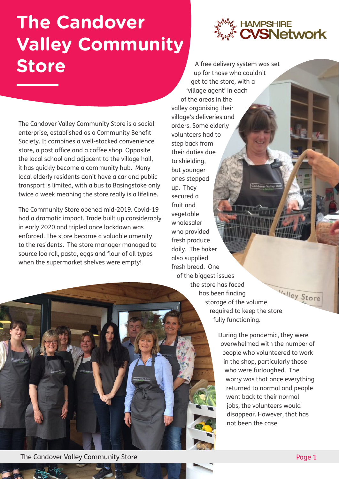## **The Candover Valley Community Store**



The Candover Valley Community Store is a social enterprise, established as a Community Benefit Society. It combines a well-stocked convenience store, a post office and a coffee shop. Opposite the local school and adjacent to the village hall, it has quickly become a community hub. Many local elderly residents don't have a car and public transport is limited, with a bus to Basingstoke only twice a week meaning the store really is a lifeline.

The Community Store opened mid-2019. Covid-19 had a dramatic impact. Trade built up considerably in early 2020 and tripled once lockdown was enforced. The store became a valuable amenity to the residents. The store manager managed to source loo roll, pasta, eggs and flour of all types when the supermarket shelves were empty!

A free delivery system was set up for those who couldn't get to the store, with a 'village agent' in each of the areas in the valley organising their village's deliveries and orders. Some elderly volunteers had to step back from their duties due to shielding, but younger ones stepped up. They secured a fruit and vegetable wholesaler who provided fresh produce daily. The baker also supplied fresh bread. One

of the biggest issues the store has faced Valley Store has been finding storage of the volume required to keep the store fully functioning.

> During the pandemic, they were overwhelmed with the number of people who volunteered to work in the shop, particularly those who were furloughed. The worry was that once everything returned to normal and people went back to their normal jobs, the volunteers would disappear. However, that has not been the case.

The Candover Valley Community Store **Page 1** and the Candover Valley Community Store